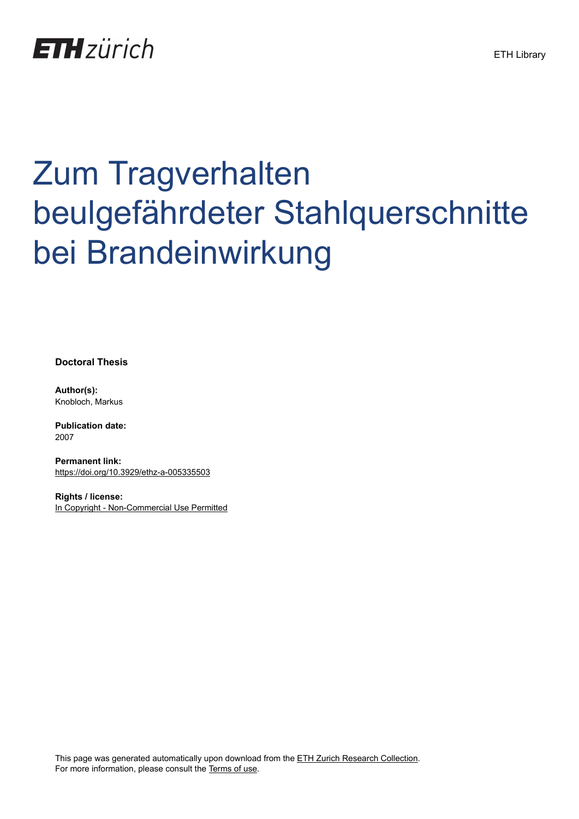

# Zum Tragverhalten beulgefährdeter Stahlquerschnitte bei Brandeinwirkung

**Doctoral Thesis**

**Author(s):** Knobloch, Markus

**Publication date:** 2007

**Permanent link:** <https://doi.org/10.3929/ethz-a-005335503>

**Rights / license:** [In Copyright - Non-Commercial Use Permitted](http://rightsstatements.org/page/InC-NC/1.0/)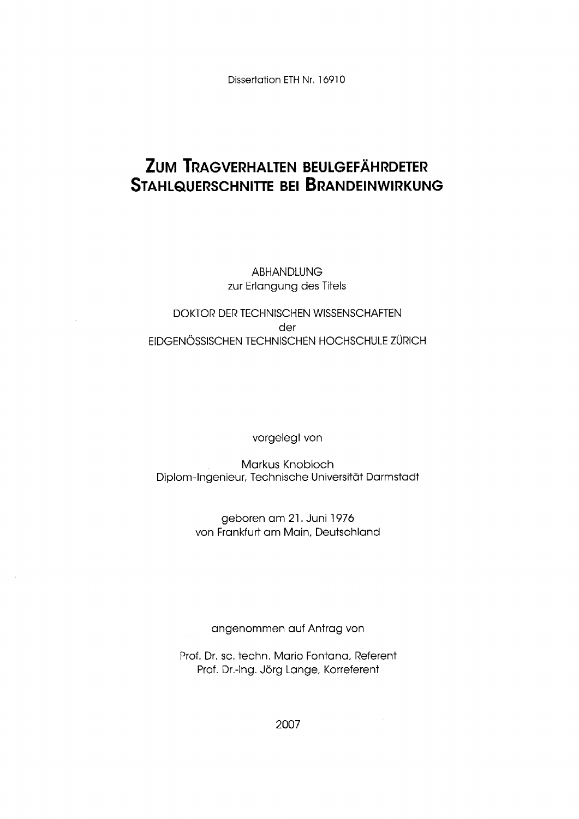Dissertation ETH Nr. 16910

# **ZUM TRAGVERHALTEN BEULGEFÄHRDETER STAHLQUERSCHNITTE BEI BRANDEINWIRKUNG**

ABHANDLUNG zur Erlangung des Titels

#### DOKTOR DER TECHNISCHEN WISSENSCHAFTEN der EIDGENÖSSISCHEN TECHNISCHEN HOCHSCHULE ZÜRICH

vorgelegt von

Markus Knobloch Diplom-Ingenieur. Technische Universität Darmstadt

> geboren am 21. Juni 1976 von Frankfurt am Mein. Deutschland

angenommen auf Antrag von

Prof. Dr. sc. techn, Mario Fontone. Referent Prof. Dr.-Ing. Jörg Lange, Korreferent

2007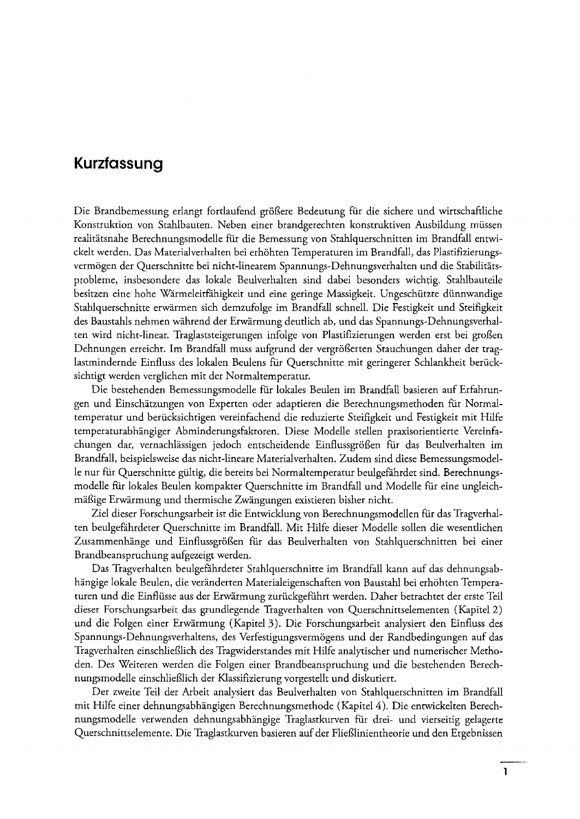## **Kurzfassung**

Die Brandbemessung erlangt fortlaufend größere Bedeutung für die sichere und wirtschaftliche Konstruktion von Stahlbauten. Neben einer brandgerechten konstruktiven Ausbildung müssen realitätsnahe Berechnungsmodelle für die Bemessung von Stahlquerschnitten im Brandfall entwickelt werden. Das Materialverhalten bei erhöhten Temperaturen im Brandfall, das Plastifizierungsvermögen der Querschnitte bei nicht-linearem Spannungs-Dehnungsverhalten und die Stabilitätsproblerne, insbesondere das lokale Beulverhalten sind dabei besonders wichtig. Stahlbauteile besitzen eine hohe Wärmeleitfähigkeit und eine geringe Massigkeit. Ungeschützte dünnwandige Stahlquerschnitte erwärmen sich demzufolge im Brandfall schnell. Die Festigkeit und Steifigkeit des Baustahls nehmen während der Erwärmung deutlich ab, und das Spannungs-Dehnungsverhalten wird nicht-linear. Traglaststeigerungen infolge von Plastifizierungen werden erst bei großen Dehnungen erreicht. Im Brandfall muss aufgrund der vergrößerten Stauchungen daher der traglastmindernde Einfluss des lokalen Beulens für Querschnitte mit geringerer Schlankheit berücksichtigt werden verglichen mit der Normaltemperatur.

Die bestehenden Bemessungsmodelle für lokales Beulen im Brandfall basieren auf Erfahrungen und Einschätzungen von Experten oder adaptieren die Berechnungsmethoden für Normaltemperatur und berücksichtigen vereinfachend die reduzierte Steifigkeit und Festigkeit mit Hilfe temperaturabhängiger Abminderungsfaktoren. Diese Modelle stellen praxisorientierte Vereinfachungen dar, vernachlässigen jedoch entscheidende Einflussgrößen für das Beulverhalten im Brandfall, beispielsweise das nicht-lineare Materialverhalten. Zudem sind diese Bemessungsmodelle nur für Querschnitte gültig, die bereits bei Normaltemperatur beulgefährdet sind. Berechnungsmodelle für lokales Beulen kompakter Querschnitte im Brandfall und Modelle für eine ungleichmäßige Erwärmung und thermische Zwängungen existieren bisher nicht.

Ziel dieser Forschungsarbeit ist die Entwicklung von Berechnungsmodellen für das Tragverhalten beulgefährderer Querschnitte im Brandfall. Mit Hilfe dieser Modelle sollen die wesentlichen Zusammenhänge und Einflussgrößen für das Beulverhalten von Stahlquerschnitten bei einer Brandbeanspruchung aufgezeigt werden.

Das Tragverhalten beulgefahrdeter Stahlquerschnitte im Brandfall kann auf das dehnungsabhängige lokale Beulen, die veränderten Materialeigenschaften von Baustahl bei erhöhten Temperaturen und die Einflüsse aus der Erwärmung zurückgeführt werden. Daher betrachtet der erste Teil dieser Forschungsarbeit das grundlegende Tragverhalten von Querschnittselementen (Kapitel 2) und die Folgen einer Erwärmung (Kapitel 3). Die Forschungsarbeit analysiert den Einfluss des Spannungs-Dehnungsverhaltens, des Verfestigungsvermögens und der Randbedingungen auf das Tragverhalten einschließlich des Tragwiderstandes mit Hilfe analytischer und numerischer Methoden. Des Weiteren werden die Folgen einer Brandbeanspruchung und die bestehenden Berechnungsmodelle einschließlich der Klassifizierung vorgestellt und diskutiert.

Der zweite Teil der Arbeit analysiert das Beulverhalten von Stahlquerschnitten im Brandfall mit Hilfe einer dehnungsabhängigen Berechnungsmethode (Kapitel 4). Die entwickelten Berechnungsmodelle verwenden dehnungsabhängige Traglastkurven für drei- und vierseitig gelagerte Querschnittselemente. Die Traglastkurven basieren auf der Fließlinientheorie und den Ergebnissen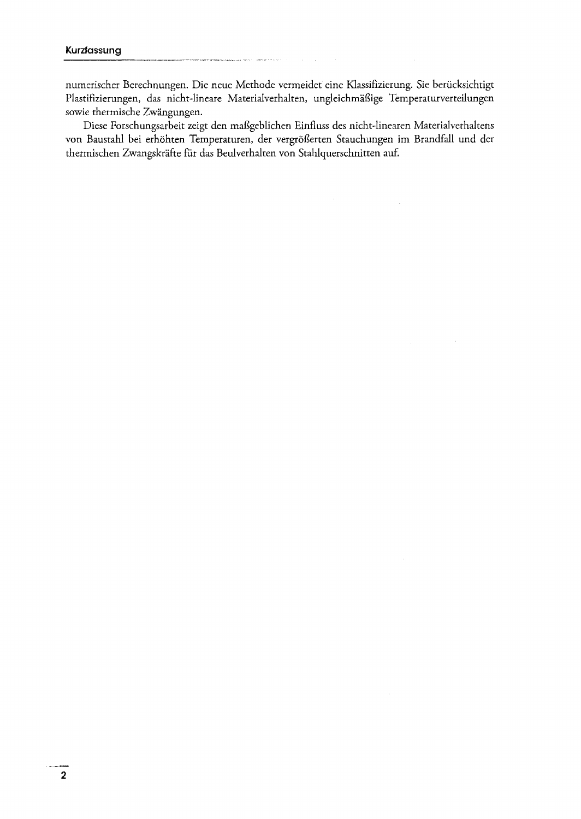numerischer Berechnungen. Die neue Methode vermeidet eine Klassifizierung. Sie berücksichtigt Plastifizierungen, das nicht-lineare Materialverhalten, ungleichmäßige Temperaturverteilungen sowie thermische Zwängungen.

Diese Forschungsarbeit zeigt den maßgeblichen Einfluss des nicht-linearen Materialverhaltens von Baustahl bei erhöhten Temperaturen, der vergrößerten Stauchungen im Brandfall und der thermischen Zwangskräfte fiir das Beulverhalten von Stahlquerschnitten auf.

 $\sim$ 

 $\frac{1}{2}$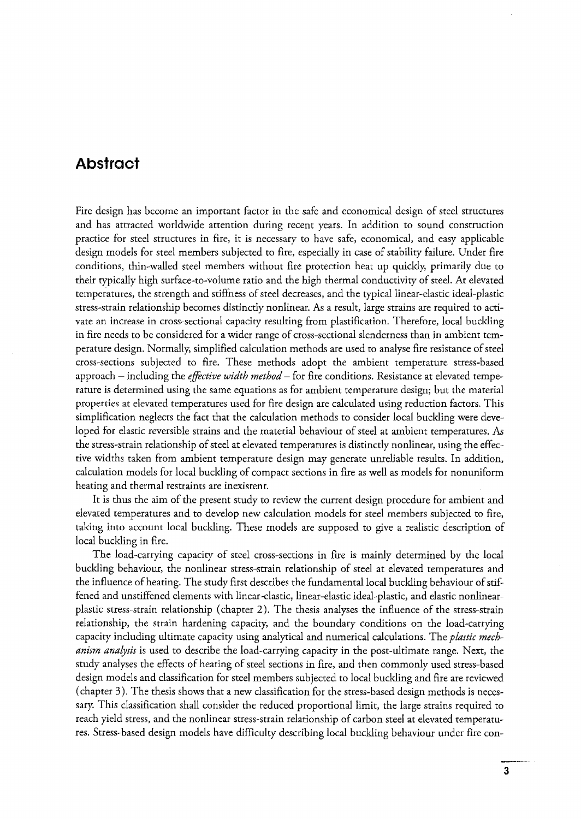### **Abstract**

Fire design has bccome an important factor in the safe and econornical design of steel structures and has attracted worldwide attention during recent years, In addition to sound construction practice for steel structures in fire, it is necessary to have safe, economical, and easy applicable design models for steel members subjected to fire, especially in case of stability failure. Under fire conditions, thin-walled steel members without fire protection heat up quickly, primarily due to their typically high surface-to-volume ratio and the high thermal conductivity of steel. At elevated tempcratures, the strength and stiffness of steel decreases, and the typical linear-elastic ideal-plastic stress-strain relationship becornes distinctly nonlinear. As a result, large strains are required to activate an increase in cross-sectional capacity resulting from plastiflcation. Therefore, local buckling in fire needs to be considered far a wider range of cross-sectional slenderness than in ambient temperature design. Normally, simplified calculation methods are used to analyse fire resistance of steel cross-sections subjected to fire. These methods adopt the ambient temperature stress-based approach – including the *effective width method* – for fire conditions. Resistance at elevated temperature is determined using the same equations as for ambient temperature design; but the material properties at elcvated temperatures used for fire design are calculated using reduction factars. This simplification neglects the fact that the calculation methods to consider local buckling were developed for elastic reversible strains and the material behaviour of steel at ambient temperatures. As the stress-strain relationship of steel at elevated temperatures is distinctly nonlinear, using the effective widths taken from ambient ternperature design may generate unreliable results, In addition, calculation models far local buckling of compact seetions in fire as well as models far nonuniform heating and thermal restraints are inexistent.

It is thus the aim of the present study to review the current design procedure for ambient and elevated temperatures and to develop new calculation models for steel members subjected to fire, taking into account local buckling. These models are supposed to give a realistic description of local buckling in fire.

The load-carrying capacity of steel cross-sections in fire is mainly determined by the local buckling behaviour, the nonlinear stress-strain relationship of steel at elevated temperatures and the influence of heating. The study first describes the fundamental local buckling behaviour of stiffened and unstiffened elements with Iinear-elastic, linear-elastic ideal-plastic, and elastic nonlinearplastic stress-strain relationship (chapter 2). The thesis analyses the influence of the stress-strain relationship. the strain hardening capacity, and the boundary conditions on the load-carrying capacity including ultimate capacity using analytical and numerical calculations. The *plastic mechanism analysis* is used to describe the load-carrying capacity in the post-ultimate range. Next, the study analyses the effects of heating of steel seetions in fire, and then commonly used stress-based design models and classification for steel members subjectcd to local buckling and fire are reviewed (chapter 3). The thesis shows that a new classification for the stress-based design methods is necessary. This classification shall consider the reduced proportional limit, the large strains required to reach yield stress, and the nonlinear stress-strain relationship of carbon steel at elevated temperatures. Stress-based design models have difficulty describing local buckling behaviour under flre con